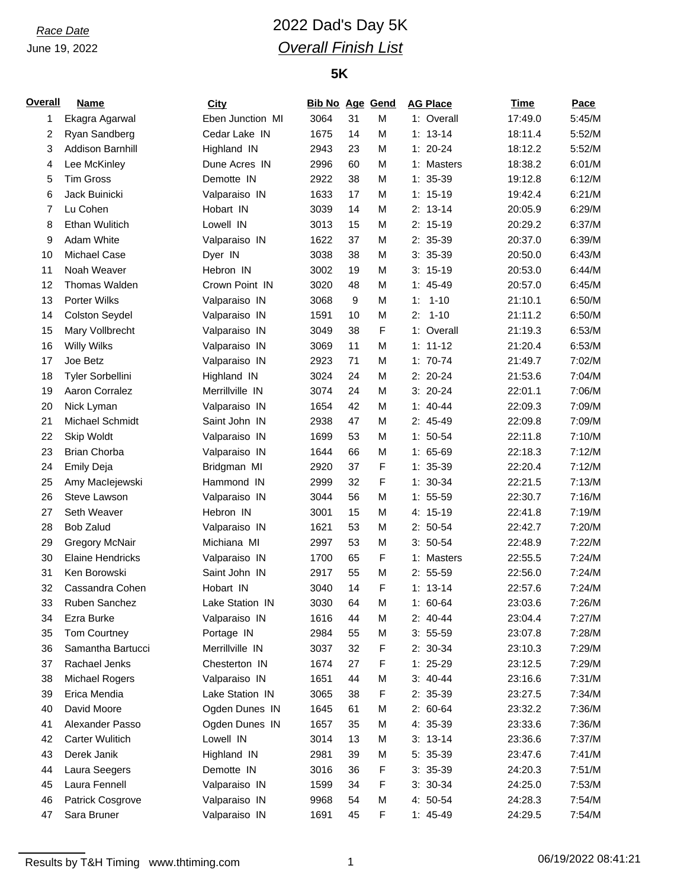# *Race Date* 2022 Dad's Day 5K *Overall Finish List*

| Overall | <b>Name</b>             | City             | <b>Bib No Age Gend</b> |    |   | <b>AG Place</b> | <b>Time</b> | Pace   |
|---------|-------------------------|------------------|------------------------|----|---|-----------------|-------------|--------|
| 1       | Ekagra Agarwal          | Eben Junction MI | 3064                   | 31 | M | 1: Overall      | 17:49.0     | 5:45/M |
| 2       | Ryan Sandberg           | Cedar Lake IN    | 1675                   | 14 | M | $1: 13-14$      | 18:11.4     | 5:52/M |
| 3       | Addison Barnhill        | Highland IN      | 2943                   | 23 | M | $1: 20 - 24$    | 18:12.2     | 5:52/M |
| 4       | Lee McKinley            | Dune Acres IN    | 2996                   | 60 | M | 1: Masters      | 18:38.2     | 6:01/M |
| 5       | <b>Tim Gross</b>        | Demotte IN       | 2922                   | 38 | M | $1: 35-39$      | 19:12.8     | 6:12/M |
| 6       | Jack Buinicki           | Valparaiso IN    | 1633                   | 17 | M | $1: 15-19$      | 19:42.4     | 6:21/M |
| 7       | Lu Cohen                | Hobart IN        | 3039                   | 14 | M | $2: 13-14$      | 20:05.9     | 6:29/M |
| 8       | Ethan Wulitich          | Lowell IN        | 3013                   | 15 | M | $2: 15-19$      | 20:29.2     | 6:37/M |
| 9       | <b>Adam White</b>       | Valparaiso IN    | 1622                   | 37 | M | 2: 35-39        | 20:37.0     | 6:39/M |
| 10      | Michael Case            | Dyer IN          | 3038                   | 38 | M | $3: 35-39$      | 20:50.0     | 6:43/M |
| 11      | Noah Weaver             | Hebron IN        | 3002                   | 19 | M | $3: 15-19$      | 20:53.0     | 6:44/M |
| 12      | Thomas Walden           | Crown Point IN   | 3020                   | 48 | M | $1: 45-49$      | 20:57.0     | 6:45/M |
| 13      | Porter Wilks            | Valparaiso IN    | 3068                   | 9  | M | $1 - 10$<br>1:  | 21:10.1     | 6:50/M |
| 14      | <b>Colston Seydel</b>   | Valparaiso IN    | 1591                   | 10 | M | 2:<br>$1 - 10$  | 21:11.2     | 6:50/M |
| 15      | Mary Vollbrecht         | Valparaiso IN    | 3049                   | 38 | F | 1: Overall      | 21:19.3     | 6:53/M |
| 16      | <b>Willy Wilks</b>      | Valparaiso IN    | 3069                   | 11 | M | $1: 11 - 12$    | 21:20.4     | 6:53/M |
| 17      | Joe Betz                | Valparaiso IN    | 2923                   | 71 | M | $1: 70-74$      | 21:49.7     | 7:02/M |
| 18      | Tyler Sorbellini        | Highland IN      | 3024                   | 24 | M | $2: 20-24$      | 21:53.6     | 7:04/M |
| 19      | Aaron Corralez          | Merrillville IN  | 3074                   | 24 | M | $3: 20-24$      | 22:01.1     | 7:06/M |
| 20      | Nick Lyman              | Valparaiso IN    | 1654                   | 42 | M | $1: 40 - 44$    | 22:09.3     | 7:09/M |
| 21      | Michael Schmidt         | Saint John IN    | 2938                   | 47 | M | 2: 45-49        | 22:09.8     | 7:09/M |
| 22      | Skip Woldt              | Valparaiso IN    | 1699                   | 53 | M | $1: 50-54$      | 22:11.8     | 7:10/M |
| 23      | <b>Brian Chorba</b>     | Valparaiso IN    | 1644                   | 66 | M | $1: 65-69$      | 22:18.3     | 7:12/M |
| 24      | <b>Emily Deja</b>       | Bridgman MI      | 2920                   | 37 | F | $1: 35-39$      | 22:20.4     | 7:12/M |
| 25      | Amy Maclejewski         | Hammond IN       | 2999                   | 32 | F | $1: 30-34$      | 22:21.5     | 7:13/M |
| 26      | Steve Lawson            | Valparaiso IN    | 3044                   | 56 | M | $1: 55-59$      | 22:30.7     | 7:16/M |
|         | Seth Weaver             | Hebron IN        | 3001                   | 15 | M | 4: 15-19        |             | 7:19/M |
| 27      |                         |                  |                        |    |   |                 | 22:41.8     |        |
| 28      | <b>Bob Zalud</b>        | Valparaiso IN    | 1621                   | 53 | M | $2: 50-54$      | 22:42.7     | 7:20/M |
| 29      | <b>Gregory McNair</b>   | Michiana MI      | 2997                   | 53 | M | $3: 50-54$      | 22:48.9     | 7:22/M |
| 30      | <b>Elaine Hendricks</b> | Valparaiso IN    | 1700                   | 65 | F | 1: Masters      | 22:55.5     | 7:24/M |
| 31      | Ken Borowski            | Saint John IN    | 2917                   | 55 | M | $2: 55-59$      | 22:56.0     | 7:24/M |
| 32      | Cassandra Cohen         | Hobart IN        | 3040                   | 14 | F | $1: 13-14$      | 22:57.6     | 7:24/M |
| 33      | Ruben Sanchez           | Lake Station IN  | 3030                   | 64 | M | $1: 60-64$      | 23:03.6     | 7:26/M |
| 34      | Ezra Burke              | Valparaiso IN    | 1616                   | 44 | M | $2: 40-44$      | 23:04.4     | 7:27/M |
| 35      | Tom Courtney            | Portage IN       | 2984                   | 55 | M | $3: 55-59$      | 23:07.8     | 7:28/M |
| 36      | Samantha Bartucci       | Merrillville IN  | 3037                   | 32 | F | 2: 30-34        | 23:10.3     | 7:29/M |
| 37      | Rachael Jenks           | Chesterton IN    | 1674                   | 27 | F | $1: 25-29$      | 23:12.5     | 7:29/M |
| 38      | Michael Rogers          | Valparaiso IN    | 1651                   | 44 | M | $3: 40-44$      | 23:16.6     | 7:31/M |
| 39      | Erica Mendia            | Lake Station IN  | 3065                   | 38 | F | 2: 35-39        | 23:27.5     | 7:34/M |
| 40      | David Moore             | Ogden Dunes IN   | 1645                   | 61 | M | $2: 60-64$      | 23:32.2     | 7:36/M |
| 41      | Alexander Passo         | Ogden Dunes IN   | 1657                   | 35 | M | 4: 35-39        | 23:33.6     | 7:36/M |
| 42      | <b>Carter Wulitich</b>  | Lowell IN        | 3014                   | 13 | M | $3: 13-14$      | 23:36.6     | 7:37/M |
| 43      | Derek Janik             | Highland IN      | 2981                   | 39 | M | $5:35-39$       | 23:47.6     | 7:41/M |
| 44      | Laura Seegers           | Demotte IN       | 3016                   | 36 | F | $3: 35-39$      | 24:20.3     | 7:51/M |
| 45      | Laura Fennell           | Valparaiso IN    | 1599                   | 34 | F | $3: 30-34$      | 24:25.0     | 7:53/M |
| 46      | Patrick Cosgrove        | Valparaiso IN    | 9968                   | 54 | M | 4: 50-54        | 24:28.3     | 7:54/M |
| 47      | Sara Bruner             | Valparaiso IN    | 1691                   | 45 | F | $1: 45-49$      | 24:29.5     | 7:54/M |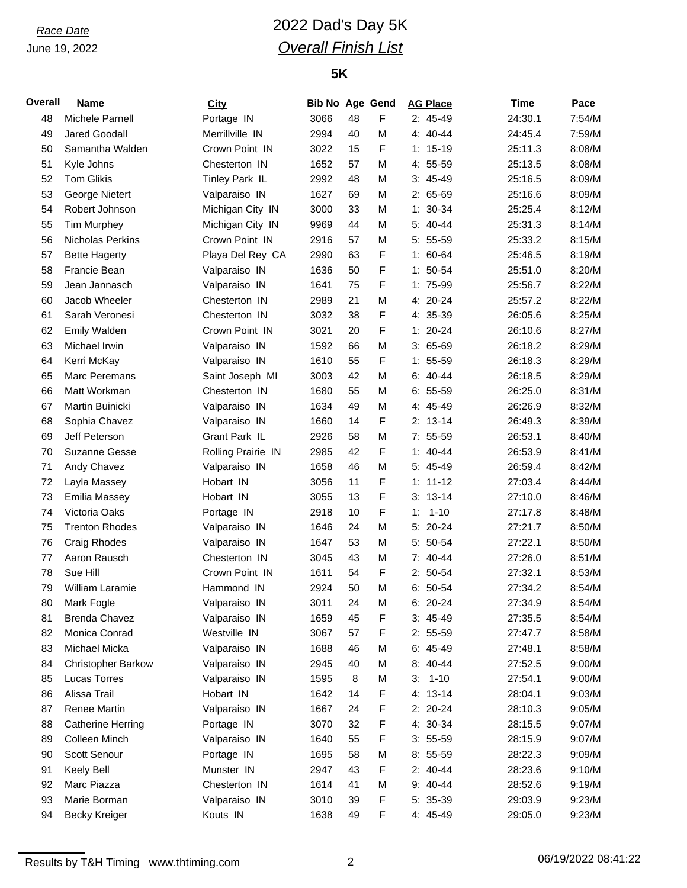# *Race Date* 2022 Dad's Day 5K *Overall Finish List*

| <b>Overall</b> | Name                      | <b>City</b>        | <b>Bib No Age Gend</b> |    |   | <b>AG Place</b> | <b>Time</b> | Pace   |
|----------------|---------------------------|--------------------|------------------------|----|---|-----------------|-------------|--------|
| 48             | Michele Parnell           | Portage IN         | 3066                   | 48 | F | $2: 45-49$      | 24:30.1     | 7:54/M |
| 49             | <b>Jared Goodall</b>      | Merrillville IN    | 2994                   | 40 | M | 4: 40-44        | 24:45.4     | 7:59/M |
| 50             | Samantha Walden           | Crown Point IN     | 3022                   | 15 | F | $1: 15-19$      | 25:11.3     | 8:08/M |
| 51             | Kyle Johns                | Chesterton IN      | 1652                   | 57 | M | 4: 55-59        | 25:13.5     | 8:08/M |
| 52             | <b>Tom Glikis</b>         | Tinley Park IL     | 2992                   | 48 | M | $3: 45-49$      | 25:16.5     | 8:09/M |
| 53             | George Nietert            | Valparaiso IN      | 1627                   | 69 | M | $2: 65-69$      | 25:16.6     | 8:09/M |
| 54             | Robert Johnson            | Michigan City IN   | 3000                   | 33 | M | $1: 30-34$      | 25:25.4     | 8:12/M |
| 55             | <b>Tim Murphey</b>        | Michigan City IN   | 9969                   | 44 | M | 5: 40-44        | 25:31.3     | 8:14/M |
| 56             | Nicholas Perkins          | Crown Point IN     | 2916                   | 57 | M | $5: 55-59$      | 25:33.2     | 8:15/M |
| 57             | <b>Bette Hagerty</b>      | Playa Del Rey CA   | 2990                   | 63 | F | $1: 60-64$      | 25:46.5     | 8:19/M |
| 58             | Francie Bean              | Valparaiso IN      | 1636                   | 50 | F | $1: 50-54$      | 25:51.0     | 8:20/M |
| 59             | Jean Jannasch             | Valparaiso IN      | 1641                   | 75 | F | 1: 75-99        | 25:56.7     | 8:22/M |
| 60             | Jacob Wheeler             | Chesterton IN      | 2989                   | 21 | M | 4: 20-24        | 25:57.2     | 8:22/M |
| 61             | Sarah Veronesi            | Chesterton IN      | 3032                   | 38 | F | 4: 35-39        | 26:05.6     | 8:25/M |
| 62             | <b>Emily Walden</b>       | Crown Point IN     | 3021                   | 20 | F | $1: 20-24$      | 26:10.6     | 8:27/M |
| 63             | Michael Irwin             | Valparaiso IN      | 1592                   | 66 | M | $3:65-69$       | 26:18.2     | 8:29/M |
| 64             | Kerri McKay               | Valparaiso IN      | 1610                   | 55 | F | $1: 55-59$      | 26:18.3     | 8:29/M |
| 65             | Marc Peremans             | Saint Joseph MI    | 3003                   | 42 | M | $6: 40-44$      | 26:18.5     | 8:29/M |
| 66             | Matt Workman              | Chesterton IN      | 1680                   | 55 | M | $6: 55-59$      | 26:25.0     | 8:31/M |
| 67             | Martin Buinicki           | Valparaiso IN      | 1634                   | 49 | M | 4: 45-49        | 26:26.9     | 8:32/M |
| 68             | Sophia Chavez             | Valparaiso IN      | 1660                   | 14 | F | $2: 13-14$      | 26:49.3     | 8:39/M |
| 69             | Jeff Peterson             | Grant Park IL      | 2926                   | 58 | M | $7: 55-59$      | 26:53.1     | 8:40/M |
| 70             | <b>Suzanne Gesse</b>      | Rolling Prairie IN | 2985                   | 42 | F | $1: 40 - 44$    | 26:53.9     | 8:41/M |
| 71             | Andy Chavez               | Valparaiso IN      | 1658                   | 46 | M | 5: 45-49        | 26:59.4     | 8:42/M |
| 72             | Layla Massey              | Hobart IN          | 3056                   | 11 | F | $1: 11 - 12$    | 27:03.4     | 8:44/M |
| 73             | <b>Emilia Massey</b>      | Hobart IN          | 3055                   | 13 | F | $3: 13-14$      | 27:10.0     | 8:46/M |
| 74             | Victoria Oaks             | Portage IN         | 2918                   | 10 | F | $1 - 10$<br>1:  | 27:17.8     | 8:48/M |
| 75             | <b>Trenton Rhodes</b>     | Valparaiso IN      | 1646                   | 24 | M | $5: 20-24$      | 27:21.7     | 8:50/M |
| 76             | <b>Craig Rhodes</b>       | Valparaiso IN      | 1647                   | 53 | M | 5: 50-54        | 27:22.1     | 8:50/M |
| 77             | Aaron Rausch              | Chesterton IN      | 3045                   | 43 | M | 7: 40-44        | 27:26.0     | 8:51/M |
| 78             | Sue Hill                  | Crown Point IN     | 1611                   | 54 | F | $2: 50-54$      | 27:32.1     | 8:53/M |
| 79             | William Laramie           | Hammond IN         | 2924                   | 50 | M | $6: 50-54$      | 27:34.2     | 8:54/M |
| 80             | Mark Fogle                | Valparaiso IN      | 3011                   | 24 | M | 6: 20-24        | 27:34.9     | 8:54/M |
| 81             | <b>Brenda Chavez</b>      | Valparaiso IN      | 1659                   | 45 | F | $3: 45-49$      | 27:35.5     | 8:54/M |
| 82             | Monica Conrad             | Westville IN       | 3067                   | 57 | F | $2: 55-59$      | 27:47.7     | 8:58/M |
| 83             | Michael Micka             | Valparaiso IN      | 1688                   | 46 | M | $6: 45-49$      | 27:48.1     | 8:58/M |
| 84             | <b>Christopher Barkow</b> | Valparaiso IN      | 2945                   | 40 | M | 8: 40-44        | 27:52.5     | 9:00/M |
| 85             | Lucas Torres              | Valparaiso IN      | 1595                   | 8  | M | $1 - 10$<br>3:  | 27:54.1     | 9:00/M |
| 86             | Alissa Trail              | Hobart IN          | 1642                   | 14 | F | 4: 13-14        | 28:04.1     | 9:03/M |
| 87             | Renee Martin              | Valparaiso IN      | 1667                   | 24 | F | $2: 20-24$      | 28:10.3     | 9:05/M |
| 88             | <b>Catherine Herring</b>  | Portage IN         | 3070                   | 32 | F | 4: 30-34        | 28:15.5     | 9:07/M |
| 89             | Colleen Minch             | Valparaiso IN      | 1640                   | 55 | F | $3: 55-59$      | 28:15.9     | 9:07/M |
| 90             | Scott Senour              | Portage IN         | 1695                   | 58 | M | $8:55-59$       | 28:22.3     | 9:09/M |
| 91             | Keely Bell                | Munster IN         | 2947                   | 43 | F | $2: 40-44$      | 28:23.6     | 9:10/M |
| 92             | Marc Piazza               | Chesterton IN      | 1614                   | 41 | M | 9: 40-44        | 28:52.6     | 9:19/M |
| 93             | Marie Borman              | Valparaiso IN      | 3010                   | 39 | F | 5: 35-39        | 29:03.9     | 9:23/M |
| 94             | <b>Becky Kreiger</b>      | Kouts IN           | 1638                   | 49 | F | 4: 45-49        | 29:05.0     | 9:23/M |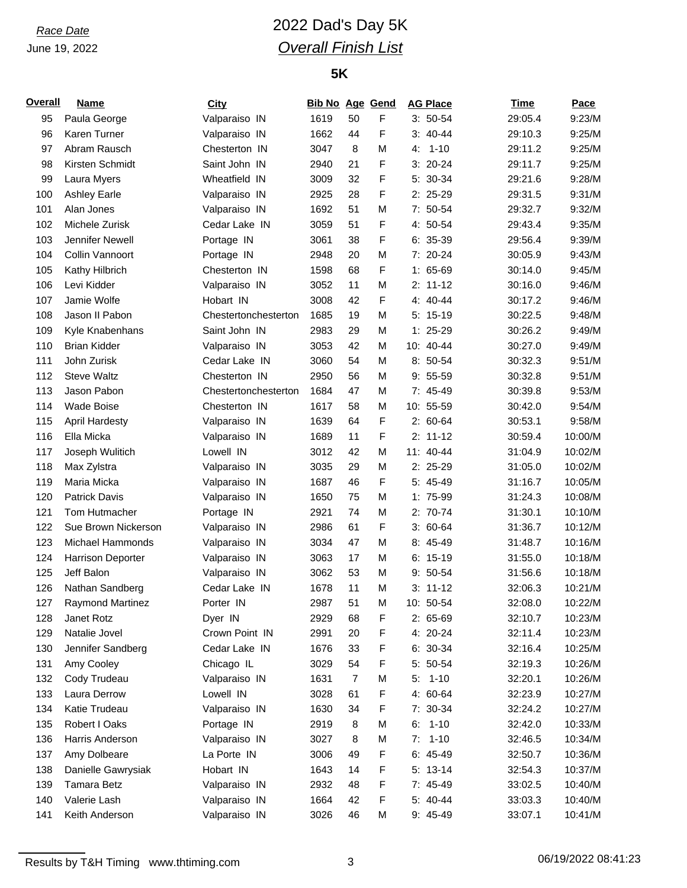# *Race Date* 2022 Dad's Day 5K *Overall Finish List*

| <b>Overall</b> | <b>Name</b>              | City                 | <b>Bib No Age Gend</b> |    |   | <b>AG Place</b> | <b>Time</b> | Pace    |
|----------------|--------------------------|----------------------|------------------------|----|---|-----------------|-------------|---------|
| 95             | Paula George             | Valparaiso IN        | 1619                   | 50 | F | $3:50-54$       | 29:05.4     | 9:23/M  |
| 96             | Karen Turner             | Valparaiso IN        | 1662                   | 44 | F | $3:40-44$       | 29:10.3     | 9:25/M  |
| 97             | Abram Rausch             | Chesterton IN        | 3047                   | 8  | M | $1 - 10$<br>4:  | 29:11.2     | 9:25/M  |
| 98             | Kirsten Schmidt          | Saint John IN        | 2940                   | 21 | F | $3: 20-24$      | 29:11.7     | 9:25/M  |
| 99             | Laura Myers              | Wheatfield IN        | 3009                   | 32 | F | 5: 30-34        | 29:21.6     | 9:28/M  |
| 100            | <b>Ashley Earle</b>      | Valparaiso IN        | 2925                   | 28 | F | 2: 25-29        | 29:31.5     | 9:31/M  |
| 101            | Alan Jones               | Valparaiso IN        | 1692                   | 51 | M | 7: 50-54        | 29:32.7     | 9:32/M  |
| 102            | Michele Zurisk           | Cedar Lake IN        | 3059                   | 51 | F | 4: 50-54        | 29:43.4     | 9:35/M  |
| 103            | Jennifer Newell          | Portage IN           | 3061                   | 38 | F | $6: 35-39$      | 29:56.4     | 9:39/M  |
| 104            | Collin Vannoort          | Portage IN           | 2948                   | 20 | M | 7: 20-24        | 30:05.9     | 9:43/M  |
| 105            | Kathy Hilbrich           | Chesterton IN        | 1598                   | 68 | F | $1: 65-69$      | 30:14.0     | 9:45/M  |
| 106            | Levi Kidder              | Valparaiso IN        | 3052                   | 11 | M | $2: 11-12$      | 30:16.0     | 9:46/M  |
| 107            | Jamie Wolfe              | Hobart IN            | 3008                   | 42 | F | $4: 40 - 44$    | 30:17.2     | 9:46/M  |
| 108            | Jason II Pabon           | Chestertonchesterton | 1685                   | 19 | M | $5: 15-19$      | 30:22.5     | 9:48/M  |
| 109            | Kyle Knabenhans          | Saint John IN        | 2983                   | 29 | M | $1: 25-29$      | 30:26.2     | 9:49/M  |
| 110            | <b>Brian Kidder</b>      | Valparaiso IN        | 3053                   | 42 | M | 10: 40-44       | 30:27.0     | 9:49/M  |
| 111            | John Zurisk              | Cedar Lake IN        | 3060                   | 54 | M | 8: 50-54        | 30:32.3     | 9:51/M  |
| 112            | <b>Steve Waltz</b>       | Chesterton IN        | 2950                   | 56 | M | $9:55-59$       | 30:32.8     | 9:51/M  |
| 113            | Jason Pabon              | Chestertonchesterton | 1684                   | 47 | M | 7: 45-49        | 30:39.8     | 9:53/M  |
| 114            | <b>Wade Boise</b>        | Chesterton IN        | 1617                   | 58 | M | 10: 55-59       | 30:42.0     | 9:54/M  |
| 115            | <b>April Hardesty</b>    | Valparaiso IN        | 1639                   | 64 | F | $2: 60-64$      | 30:53.1     | 9:58/M  |
| 116            | Ella Micka               | Valparaiso IN        | 1689                   | 11 | F | $2: 11-12$      | 30:59.4     | 10:00/M |
| 117            | Joseph Wulitich          | Lowell IN            | 3012                   | 42 | M | 11: 40-44       | 31:04.9     | 10:02/M |
| 118            | Max Zylstra              | Valparaiso IN        | 3035                   | 29 | M | 2: 25-29        | 31:05.0     | 10:02/M |
| 119            | Maria Micka              |                      | 1687                   | 46 | F | 5: 45-49        | 31:16.7     | 10:05/M |
|                |                          | Valparaiso IN        |                        |    |   |                 |             | 10:08/M |
| 120            | <b>Patrick Davis</b>     | Valparaiso IN        | 1650                   | 75 | M | 1: 75-99        | 31:24.3     |         |
| 121            | Tom Hutmacher            | Portage IN           | 2921                   | 74 | M | $2: 70-74$      | 31:30.1     | 10:10/M |
| 122            | Sue Brown Nickerson      | Valparaiso IN        | 2986                   | 61 | F | $3:60-64$       | 31:36.7     | 10:12/M |
| 123            | Michael Hammonds         | Valparaiso IN        | 3034                   | 47 | M | 8: 45-49        | 31:48.7     | 10:16/M |
| 124            | <b>Harrison Deporter</b> | Valparaiso IN        | 3063                   | 17 | M | $6: 15-19$      | 31:55.0     | 10:18/M |
| 125            | Jeff Balon               | Valparaiso IN        | 3062                   | 53 | M | $9:50-54$       | 31:56.6     | 10:18/M |
| 126            | Nathan Sandberg          | Cedar Lake IN        | 1678                   | 11 | M | $3: 11-12$      | 32:06.3     | 10:21/M |
| 127            | <b>Raymond Martinez</b>  | Porter IN            | 2987                   | 51 | M | $10: 50-54$     | 32:08.0     | 10:22/M |
| 128            | Janet Rotz               | Dyer IN              | 2929                   | 68 | F | $2: 65-69$      | 32:10.7     | 10:23/M |
| 129            | Natalie Jovel            | Crown Point IN       | 2991                   | 20 | F | 4: 20-24        | 32:11.4     | 10:23/M |
| 130            | Jennifer Sandberg        | Cedar Lake IN        | 1676                   | 33 | F | $6: 30-34$      | 32:16.4     | 10:25/M |
| 131            | Amy Cooley               | Chicago IL           | 3029                   | 54 | F | $5: 50-54$      | 32:19.3     | 10:26/M |
| 132            | Cody Trudeau             | Valparaiso IN        | 1631                   | 7  | M | $5: 1-10$       | 32:20.1     | 10:26/M |
| 133            | Laura Derrow             | Lowell IN            | 3028                   | 61 | F | 4: 60-64        | 32:23.9     | 10:27/M |
| 134            | Katie Trudeau            | Valparaiso IN        | 1630                   | 34 | F | 7: 30-34        | 32:24.2     | 10:27/M |
| 135            | Robert I Oaks            | Portage IN           | 2919                   | 8  | M | $1 - 10$<br>6:  | 32:42.0     | 10:33/M |
| 136            | Harris Anderson          | Valparaiso IN        | 3027                   | 8  | M | $7: 1-10$       | 32:46.5     | 10:34/M |
| 137            | Amy Dolbeare             | La Porte IN          | 3006                   | 49 | F | $6: 45-49$      | 32:50.7     | 10:36/M |
| 138            | Danielle Gawrysiak       | Hobart IN            | 1643                   | 14 | F | $5: 13-14$      | 32:54.3     | 10:37/M |
| 139            | Tamara Betz              | Valparaiso IN        | 2932                   | 48 | F | 7: 45-49        | 33:02.5     | 10:40/M |
| 140            | Valerie Lash             | Valparaiso IN        | 1664                   | 42 | F | 5: 40-44        | 33:03.3     | 10:40/M |
| 141            | Keith Anderson           | Valparaiso IN        | 3026                   | 46 | M | $9:45-49$       | 33:07.1     | 10:41/M |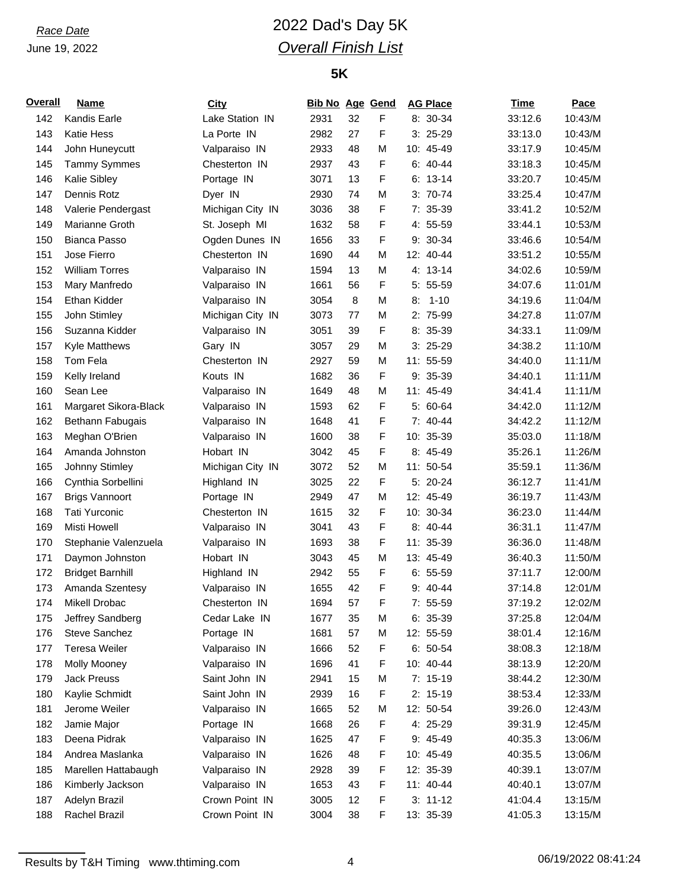# *Race Date* 2022 Dad's Day 5K *Overall Finish List*

| <b>Overall</b> | <b>Name</b>             | City             | <b>Bib No Age Gend</b> |    |   | <b>AG Place</b> | <b>Time</b> | <b>Pace</b> |
|----------------|-------------------------|------------------|------------------------|----|---|-----------------|-------------|-------------|
| 142            | Kandis Earle            | Lake Station IN  | 2931                   | 32 | F | 8: 30-34        | 33:12.6     | 10:43/M     |
| 143            | <b>Katie Hess</b>       | La Porte IN      | 2982                   | 27 | F | $3:25-29$       | 33:13.0     | 10:43/M     |
| 144            | John Huneycutt          | Valparaiso IN    | 2933                   | 48 | M | 10: 45-49       | 33:17.9     | 10:45/M     |
| 145            | <b>Tammy Symmes</b>     | Chesterton IN    | 2937                   | 43 | F | $6: 40-44$      | 33:18.3     | 10:45/M     |
| 146            | Kalie Sibley            | Portage IN       | 3071                   | 13 | F | $6: 13-14$      | 33:20.7     | 10:45/M     |
| 147            | Dennis Rotz             | Dyer IN          | 2930                   | 74 | M | $3: 70-74$      | 33:25.4     | 10:47/M     |
| 148            | Valerie Pendergast      | Michigan City IN | 3036                   | 38 | F | 7: 35-39        | 33:41.2     | 10:52/M     |
| 149            | Marianne Groth          | St. Joseph MI    | 1632                   | 58 | F | 4: 55-59        | 33:44.1     | 10:53/M     |
| 150            | <b>Bianca Passo</b>     | Ogden Dunes IN   | 1656                   | 33 | F | 9: 30-34        | 33:46.6     | 10:54/M     |
| 151            | Jose Fierro             | Chesterton IN    | 1690                   | 44 | M | 12: 40-44       | 33:51.2     | 10:55/M     |
| 152            | <b>William Torres</b>   | Valparaiso IN    | 1594                   | 13 | M | 4: 13-14        | 34:02.6     | 10:59/M     |
| 153            | Mary Manfredo           | Valparaiso IN    | 1661                   | 56 | F | 5: 55-59        | 34:07.6     | 11:01/M     |
| 154            | Ethan Kidder            | Valparaiso IN    | 3054                   | 8  | M | $1 - 10$<br>8:  | 34:19.6     | 11:04/M     |
| 155            | John Stimley            | Michigan City IN | 3073                   | 77 | M | 2: 75-99        | 34:27.8     | 11:07/M     |
| 156            | Suzanna Kidder          | Valparaiso IN    | 3051                   | 39 | F | 8: 35-39        | 34:33.1     | 11:09/M     |
| 157            | <b>Kyle Matthews</b>    | Gary IN          | 3057                   | 29 | M | $3:25-29$       | 34:38.2     | 11:10/M     |
| 158            | Tom Fela                | Chesterton IN    | 2927                   | 59 | M | 11: 55-59       | 34:40.0     | 11:11/M     |
| 159            | Kelly Ireland           | Kouts IN         | 1682                   | 36 | F | $9:35-39$       | 34:40.1     | 11:11/M     |
| 160            | Sean Lee                | Valparaiso IN    | 1649                   | 48 | M | 11: 45-49       | 34:41.4     | 11:11/M     |
| 161            | Margaret Sikora-Black   | Valparaiso IN    | 1593                   | 62 | F | 5: 60-64        | 34:42.0     | 11:12/M     |
| 162            | Bethann Fabugais        | Valparaiso IN    | 1648                   | 41 | F | 7: 40-44        | 34:42.2     | 11:12/M     |
| 163            | Meghan O'Brien          | Valparaiso IN    | 1600                   | 38 | F | 10: 35-39       | 35:03.0     | 11:18/M     |
| 164            | Amanda Johnston         | Hobart IN        | 3042                   | 45 | F | 8: 45-49        | 35:26.1     | 11:26/M     |
| 165            | Johnny Stimley          | Michigan City IN | 3072                   | 52 | M | 11: 50-54       | 35:59.1     | 11:36/M     |
| 166            | Cynthia Sorbellini      | Highland IN      | 3025                   | 22 | F | 5: 20-24        | 36:12.7     | 11:41/M     |
| 167            | <b>Brigs Vannoort</b>   | Portage IN       | 2949                   | 47 | M | 12: 45-49       | 36:19.7     | 11:43/M     |
| 168            | <b>Tati Yurconic</b>    | Chesterton IN    | 1615                   | 32 | F | 10: 30-34       | 36:23.0     | 11:44/M     |
| 169            | Misti Howell            | Valparaiso IN    | 3041                   | 43 | F | 8: 40-44        | 36:31.1     | 11:47/M     |
| 170            | Stephanie Valenzuela    | Valparaiso IN    | 1693                   | 38 | F | 11: 35-39       | 36:36.0     | 11:48/M     |
| 171            | Daymon Johnston         | Hobart IN        | 3043                   | 45 | M | 13: 45-49       | 36:40.3     | 11:50/M     |
| 172            | <b>Bridget Barnhill</b> | Highland IN      | 2942                   | 55 | F | $6: 55-59$      | 37:11.7     | 12:00/M     |
| 173            | Amanda Szentesy         | Valparaiso IN    | 1655                   | 42 | F | 9: 40-44        | 37:14.8     | 12:01/M     |
| 174            | Mikell Drobac           | Chesterton IN    | 1694                   | 57 | F | 7: 55-59        | 37:19.2     | 12:02/M     |
| 175            | Jeffrey Sandberg        | Cedar Lake IN    | 1677                   | 35 | M | $6: 35-39$      | 37:25.8     | 12:04/M     |
| 176            | Steve Sanchez           | Portage IN       | 1681                   | 57 | M | 12: 55-59       | 38:01.4     | 12:16/M     |
| 177            | <b>Teresa Weiler</b>    | Valparaiso IN    | 1666                   | 52 | F | $6: 50-54$      | 38:08.3     | 12:18/M     |
| 178            | <b>Molly Mooney</b>     | Valparaiso IN    | 1696                   | 41 | F | 10: 40-44       | 38:13.9     | 12:20/M     |
| 179            | <b>Jack Preuss</b>      | Saint John IN    | 2941                   | 15 | M | $7: 15-19$      | 38:44.2     | 12:30/M     |
| 180            | Kaylie Schmidt          | Saint John IN    | 2939                   | 16 | F | $2: 15-19$      | 38:53.4     | 12:33/M     |
| 181            | Jerome Weiler           | Valparaiso IN    | 1665                   | 52 | M | 12: 50-54       | 39:26.0     | 12:43/M     |
| 182            | Jamie Major             | Portage IN       | 1668                   | 26 | F | 4: 25-29        | 39:31.9     | 12:45/M     |
| 183            | Deena Pidrak            | Valparaiso IN    | 1625                   | 47 | F | 9: 45-49        | 40:35.3     | 13:06/M     |
| 184            | Andrea Maslanka         | Valparaiso IN    | 1626                   | 48 | F | 10: 45-49       | 40:35.5     | 13:06/M     |
| 185            | Marellen Hattabaugh     | Valparaiso IN    | 2928                   | 39 | F | 12: 35-39       | 40:39.1     | 13:07/M     |
| 186            | Kimberly Jackson        | Valparaiso IN    | 1653                   | 43 | F | 11: 40-44       | 40:40.1     | 13:07/M     |
| 187            | Adelyn Brazil           | Crown Point IN   | 3005                   | 12 | F | $3: 11-12$      | 41:04.4     | 13:15/M     |
| 188            | Rachel Brazil           | Crown Point IN   | 3004                   | 38 | F | 13: 35-39       | 41:05.3     | 13:15/M     |